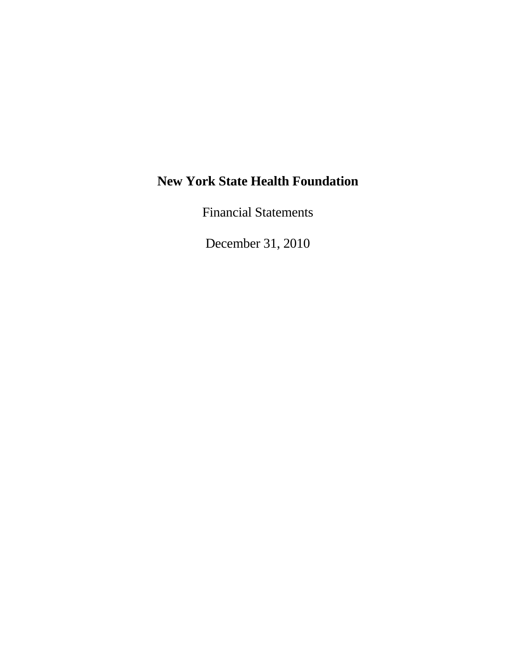Financial Statements

December 31, 2010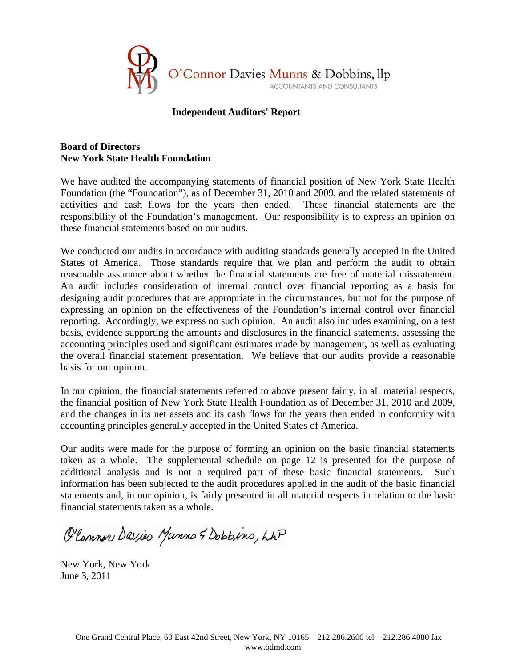

#### **Independent Auditors' Report**

# **Board of Directors New York State Health Foundation**

We have audited the accompanying statements of financial position of New York State Health Foundation (the "Foundation"), as of December 31, 2010 and 2009, and the related statements of activities and cash flows for the years then ended. These financial statements are the responsibility of the Foundation's management. Our responsibility is to express an opinion on these financial statements based on our audits.

We conducted our audits in accordance with auditing standards generally accepted in the United States of America. Those standards require that we plan and perform the audit to obtain reasonable assurance about whether the financial statements are free of material misstatement. An audit includes consideration of internal control over financial reporting as a basis for designing audit procedures that are appropriate in the circumstances, but not for the purpose of expressing an opinion on the effectiveness of the Foundation's internal control over financial reporting. Accordingly, we express no such opinion. An audit also includes examining, on a test basis, evidence supporting the amounts and disclosures in the financial statements, assessing the accounting principles used and significant estimates made by management, as well as evaluating the overall financial statement presentation. We believe that our audits provide a reasonable basis for our opinion.

In our opinion, the financial statements referred to above present fairly, in all material respects, the financial position of New York State Health Foundation as of December 31, 2010 and 2009, and the changes in its net assets and its cash flows for the years then ended in conformity with accounting principles generally accepted in the United States of America.

Our audits were made for the purpose of forming an opinion on the basic financial statements taken as a whole. The supplemental schedule on page 12 is presented for the purpose of additional analysis and is not a required part of these basic financial statements. Such information has been subjected to the audit procedures applied in the audit of the basic financial statements and, in our opinion, is fairly presented in all material respects in relation to the basic financial statements taken as a whole.

O'Common Davies Munns & Dobbins, LAP

New York, New York June 3, 2011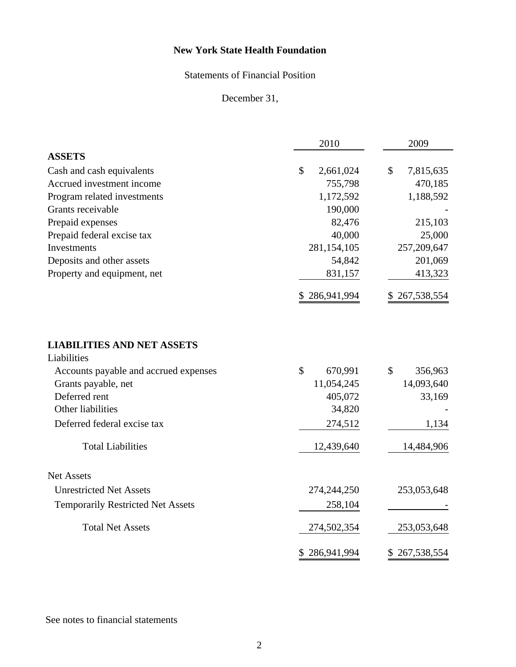Statements of Financial Position

December 31,

|                                                  | 2010            | 2009                     |
|--------------------------------------------------|-----------------|--------------------------|
| <b>ASSETS</b>                                    |                 |                          |
| Cash and cash equivalents                        | \$<br>2,661,024 | \$<br>7,815,635          |
| Accrued investment income                        | 755,798         | 470,185                  |
| Program related investments                      | 1,172,592       | 1,188,592                |
| Grants receivable                                | 190,000         |                          |
| Prepaid expenses                                 | 82,476          | 215,103                  |
| Prepaid federal excise tax                       | 40,000          | 25,000                   |
| Investments                                      | 281,154,105     | 257,209,647              |
| Deposits and other assets                        | 54,842          | 201,069                  |
| Property and equipment, net                      | 831,157         | 413,323                  |
|                                                  | \$286,941,994   | 267,538,554              |
| <b>LIABILITIES AND NET ASSETS</b><br>Liabilities |                 |                          |
| Accounts payable and accrued expenses            | \$<br>670,991   | $\mathcal{S}$<br>356,963 |
| Grants payable, net                              | 11,054,245      | 14,093,640               |
| Deferred rent                                    | 405,072         | 33,169                   |
| Other liabilities                                | 34,820          |                          |
| Deferred federal excise tax                      | 274,512         | 1,134                    |
| <b>Total Liabilities</b>                         | 12,439,640      | 14,484,906               |
| <b>Net Assets</b>                                |                 |                          |
| <b>Unrestricted Net Assets</b>                   | 274,244,250     | 253,053,648              |
| <b>Temporarily Restricted Net Assets</b>         | 258,104         |                          |
| <b>Total Net Assets</b>                          | 274,502,354     | 253,053,648              |
|                                                  | \$286,941,994   | 267,538,554<br>\$        |

See notes to financial statements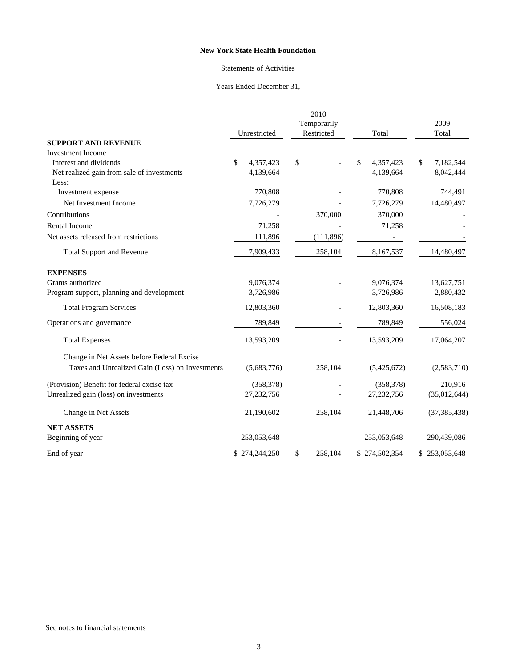#### Statements of Activities

#### Years Ended December 31,

|                                                 |    |               |             | 2010       |    |               |      |                |
|-------------------------------------------------|----|---------------|-------------|------------|----|---------------|------|----------------|
|                                                 |    |               | Temporarily |            |    |               | 2009 |                |
|                                                 |    | Unrestricted  |             | Restricted |    | Total         |      | Total          |
| <b>SUPPORT AND REVENUE</b>                      |    |               |             |            |    |               |      |                |
| <b>Investment Income</b>                        |    |               |             |            |    |               |      |                |
| Interest and dividends                          | \$ | 4,357,423     | \$          |            | \$ | 4,357,423     | \$   | 7,182,544      |
| Net realized gain from sale of investments      |    | 4,139,664     |             |            |    | 4,139,664     |      | 8,042,444      |
| Less:                                           |    |               |             |            |    |               |      |                |
| Investment expense                              |    | 770,808       |             |            |    | 770,808       |      | 744,491        |
| Net Investment Income                           |    | 7,726,279     |             |            |    | 7,726,279     |      | 14,480,497     |
| Contributions                                   |    |               |             | 370,000    |    | 370,000       |      |                |
| Rental Income                                   |    | 71,258        |             |            |    | 71,258        |      |                |
| Net assets released from restrictions           |    | 111,896       |             | (111, 896) |    |               |      |                |
| <b>Total Support and Revenue</b>                |    | 7,909,433     |             | 258,104    |    | 8,167,537     |      | 14,480,497     |
| <b>EXPENSES</b>                                 |    |               |             |            |    |               |      |                |
| Grants authorized                               |    | 9,076,374     |             |            |    | 9,076,374     |      | 13,627,751     |
| Program support, planning and development       |    | 3,726,986     |             |            |    | 3,726,986     |      | 2,880,432      |
| <b>Total Program Services</b>                   |    | 12,803,360    |             |            |    | 12,803,360    |      | 16,508,183     |
| Operations and governance                       |    | 789,849       |             |            |    | 789,849       |      | 556,024        |
| <b>Total Expenses</b>                           |    | 13,593,209    |             |            |    | 13,593,209    |      | 17,064,207     |
| Change in Net Assets before Federal Excise      |    |               |             |            |    |               |      |                |
| Taxes and Unrealized Gain (Loss) on Investments |    | (5,683,776)   |             | 258,104    |    | (5,425,672)   |      | (2,583,710)    |
| (Provision) Benefit for federal excise tax      |    | (358, 378)    |             |            |    | (358, 378)    |      | 210,916        |
| Unrealized gain (loss) on investments           |    | 27, 232, 756  |             |            |    | 27, 232, 756  |      | (35,012,644)   |
| Change in Net Assets                            |    | 21,190,602    |             | 258,104    |    | 21,448,706    |      | (37, 385, 438) |
| <b>NET ASSETS</b>                               |    |               |             |            |    |               |      |                |
| Beginning of year                               |    | 253,053,648   |             |            |    | 253,053,648   |      | 290,439,086    |
| End of year                                     |    | \$274,244,250 | \$          | 258,104    |    | \$274,502,354 |      | \$253,053,648  |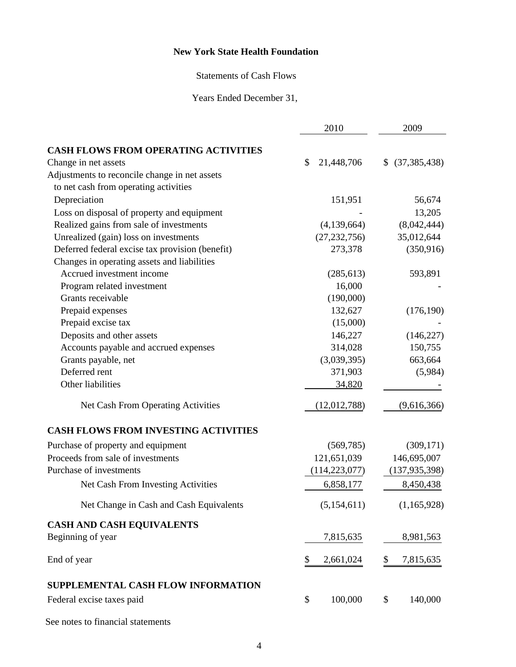# Statements of Cash Flows

# Years Ended December 31,

|                                                 | 2010             | 2009            |  |
|-------------------------------------------------|------------------|-----------------|--|
| <b>CASH FLOWS FROM OPERATING ACTIVITIES</b>     |                  |                 |  |
| Change in net assets                            | \$<br>21,448,706 | \$ (37,385,438) |  |
| Adjustments to reconcile change in net assets   |                  |                 |  |
| to net cash from operating activities           |                  |                 |  |
| Depreciation                                    | 151,951          | 56,674          |  |
| Loss on disposal of property and equipment      |                  | 13,205          |  |
| Realized gains from sale of investments         | (4,139,664)      | (8,042,444)     |  |
| Unrealized (gain) loss on investments           | (27, 232, 756)   | 35,012,644      |  |
| Deferred federal excise tax provision (benefit) | 273,378          | (350, 916)      |  |
| Changes in operating assets and liabilities     |                  |                 |  |
| Accrued investment income                       | (285, 613)       | 593,891         |  |
| Program related investment                      | 16,000           |                 |  |
| Grants receivable                               | (190,000)        |                 |  |
| Prepaid expenses                                | 132,627          | (176,190)       |  |
| Prepaid excise tax                              | (15,000)         |                 |  |
| Deposits and other assets                       | 146,227          | (146, 227)      |  |
| Accounts payable and accrued expenses           | 314,028          | 150,755         |  |
| Grants payable, net                             | (3,039,395)      | 663,664         |  |
| Deferred rent                                   | 371,903          | (5,984)         |  |
| Other liabilities                               | 34,820           |                 |  |
| Net Cash From Operating Activities              | (12,012,788)     | (9,616,366)     |  |
| <b>CASH FLOWS FROM INVESTING ACTIVITIES</b>     |                  |                 |  |
| Purchase of property and equipment              | (569, 785)       | (309, 171)      |  |
| Proceeds from sale of investments               | 121,651,039      | 146,695,007     |  |
| Purchase of investments                         | (114, 223, 077)  | (137, 935, 398) |  |
| Net Cash From Investing Activities              | 6,858,177        | 8,450,438       |  |
| Net Change in Cash and Cash Equivalents         | (5,154,611)      | (1,165,928)     |  |
| <b>CASH AND CASH EQUIVALENTS</b>                |                  |                 |  |
| Beginning of year                               | 7,815,635        | 8,981,563       |  |
| End of year                                     | \$<br>2,661,024  | \$<br>7,815,635 |  |
| SUPPLEMENTAL CASH FLOW INFORMATION              |                  |                 |  |
| Federal excise taxes paid                       | \$<br>100,000    | \$<br>140,000   |  |
| See notes to financial statements               |                  |                 |  |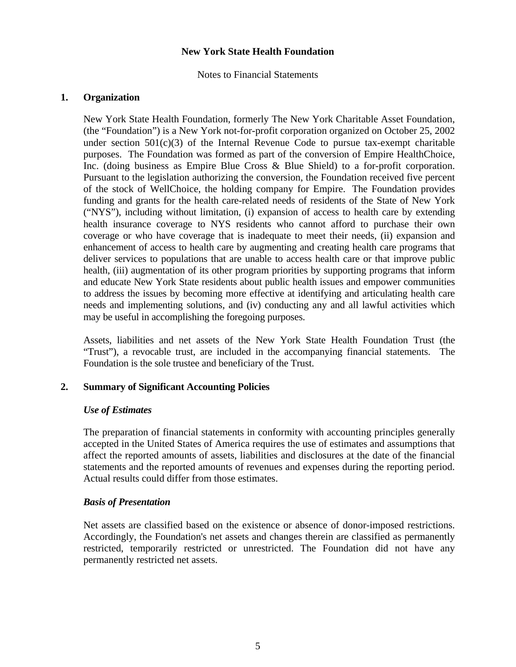Notes to Financial Statements

## **1. Organization**

New York State Health Foundation, formerly The New York Charitable Asset Foundation, (the "Foundation") is a New York not-for-profit corporation organized on October 25, 2002 under section  $501(c)(3)$  of the Internal Revenue Code to pursue tax-exempt charitable purposes. The Foundation was formed as part of the conversion of Empire HealthChoice, Inc. (doing business as Empire Blue Cross & Blue Shield) to a for-profit corporation. Pursuant to the legislation authorizing the conversion, the Foundation received five percent of the stock of WellChoice, the holding company for Empire. The Foundation provides funding and grants for the health care-related needs of residents of the State of New York ("NYS"), including without limitation, (i) expansion of access to health care by extending health insurance coverage to NYS residents who cannot afford to purchase their own coverage or who have coverage that is inadequate to meet their needs, (ii) expansion and enhancement of access to health care by augmenting and creating health care programs that deliver services to populations that are unable to access health care or that improve public health, (iii) augmentation of its other program priorities by supporting programs that inform and educate New York State residents about public health issues and empower communities to address the issues by becoming more effective at identifying and articulating health care needs and implementing solutions, and (iv) conducting any and all lawful activities which may be useful in accomplishing the foregoing purposes.

Assets, liabilities and net assets of the New York State Health Foundation Trust (the "Trust"), a revocable trust, are included in the accompanying financial statements. The Foundation is the sole trustee and beneficiary of the Trust.

#### **2. Summary of Significant Accounting Policies**

#### *Use of Estimates*

The preparation of financial statements in conformity with accounting principles generally accepted in the United States of America requires the use of estimates and assumptions that affect the reported amounts of assets, liabilities and disclosures at the date of the financial statements and the reported amounts of revenues and expenses during the reporting period. Actual results could differ from those estimates.

#### *Basis of Presentation*

Net assets are classified based on the existence or absence of donor-imposed restrictions. Accordingly, the Foundation's net assets and changes therein are classified as permanently restricted, temporarily restricted or unrestricted. The Foundation did not have any permanently restricted net assets.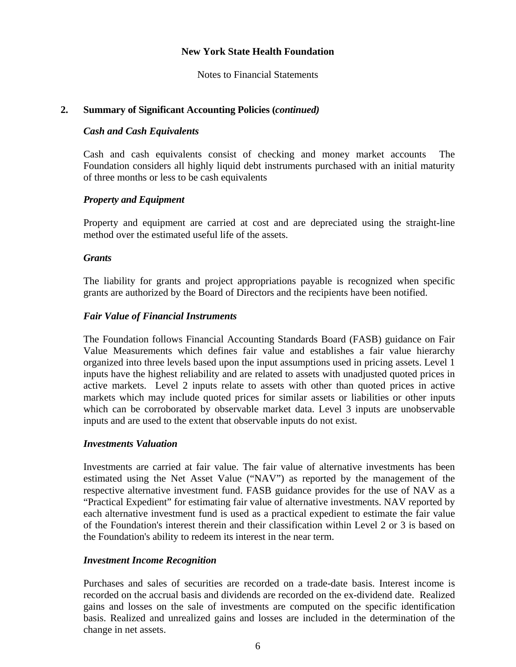Notes to Financial Statements

# **2. Summary of Significant Accounting Policies (***continued)*

## *Cash and Cash Equivalents*

Cash and cash equivalents consist of checking and money market accounts The Foundation considers all highly liquid debt instruments purchased with an initial maturity of three months or less to be cash equivalents

# *Property and Equipment*

Property and equipment are carried at cost and are depreciated using the straight-line method over the estimated useful life of the assets.

# *Grants*

 The liability for grants and project appropriations payable is recognized when specific grants are authorized by the Board of Directors and the recipients have been notified.

# *Fair Value of Financial Instruments*

The Foundation follows Financial Accounting Standards Board (FASB) guidance on Fair Value Measurements which defines fair value and establishes a fair value hierarchy organized into three levels based upon the input assumptions used in pricing assets. Level 1 inputs have the highest reliability and are related to assets with unadjusted quoted prices in active markets. Level 2 inputs relate to assets with other than quoted prices in active markets which may include quoted prices for similar assets or liabilities or other inputs which can be corroborated by observable market data. Level 3 inputs are unobservable inputs and are used to the extent that observable inputs do not exist.

#### *Investments Valuation*

Investments are carried at fair value. The fair value of alternative investments has been estimated using the Net Asset Value ("NAV") as reported by the management of the respective alternative investment fund. FASB guidance provides for the use of NAV as a "Practical Expedient" for estimating fair value of alternative investments. NAV reported by each alternative investment fund is used as a practical expedient to estimate the fair value of the Foundation's interest therein and their classification within Level 2 or 3 is based on the Foundation's ability to redeem its interest in the near term.

#### *Investment Income Recognition*

Purchases and sales of securities are recorded on a trade-date basis. Interest income is recorded on the accrual basis and dividends are recorded on the ex-dividend date. Realized gains and losses on the sale of investments are computed on the specific identification basis. Realized and unrealized gains and losses are included in the determination of the change in net assets.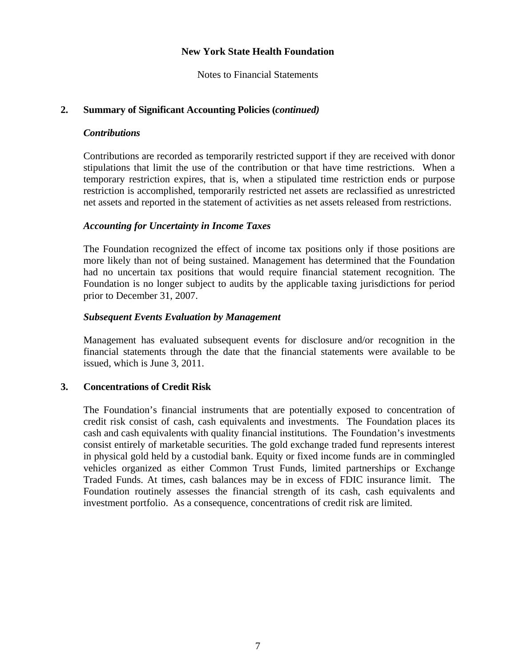Notes to Financial Statements

#### **2. Summary of Significant Accounting Policies (***continued)*

## *Contributions*

Contributions are recorded as temporarily restricted support if they are received with donor stipulations that limit the use of the contribution or that have time restrictions. When a temporary restriction expires, that is, when a stipulated time restriction ends or purpose restriction is accomplished, temporarily restricted net assets are reclassified as unrestricted net assets and reported in the statement of activities as net assets released from restrictions.

# *Accounting for Uncertainty in Income Taxes*

The Foundation recognized the effect of income tax positions only if those positions are more likely than not of being sustained. Management has determined that the Foundation had no uncertain tax positions that would require financial statement recognition. The Foundation is no longer subject to audits by the applicable taxing jurisdictions for period prior to December 31, 2007.

# *Subsequent Events Evaluation by Management*

Management has evaluated subsequent events for disclosure and/or recognition in the financial statements through the date that the financial statements were available to be issued, which is June 3, 2011.

# **3. Concentrations of Credit Risk**

The Foundation's financial instruments that are potentially exposed to concentration of credit risk consist of cash, cash equivalents and investments. The Foundation places its cash and cash equivalents with quality financial institutions. The Foundation's investments consist entirely of marketable securities. The gold exchange traded fund represents interest in physical gold held by a custodial bank. Equity or fixed income funds are in commingled vehicles organized as either Common Trust Funds, limited partnerships or Exchange Traded Funds. At times, cash balances may be in excess of FDIC insurance limit. The Foundation routinely assesses the financial strength of its cash, cash equivalents and investment portfolio. As a consequence, concentrations of credit risk are limited.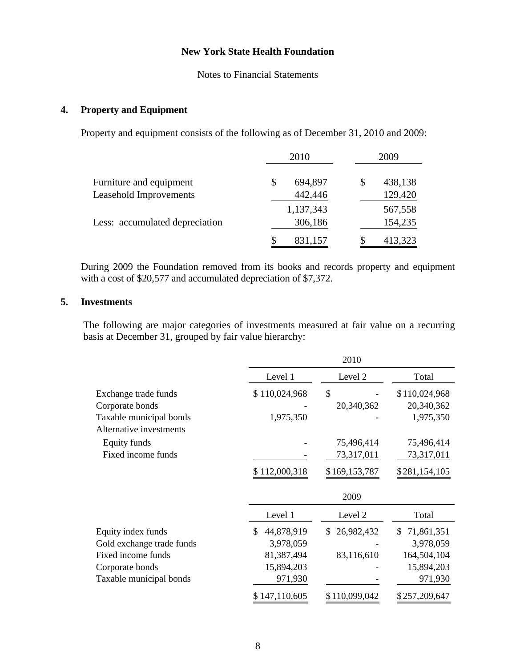Notes to Financial Statements

#### **4. Property and Equipment**

Property and equipment consists of the following as of December 31, 2010 and 2009:

|                                | 2010          | 2009          |  |  |
|--------------------------------|---------------|---------------|--|--|
| Furniture and equipment        | 694,897<br>\$ | 438,138<br>\$ |  |  |
| Leasehold Improvements         | 442,446       | 129,420       |  |  |
|                                | 1,137,343     | 567,558       |  |  |
| Less: accumulated depreciation | 306,186       | 154,235       |  |  |
|                                | 831,157       | 413,323       |  |  |

 During 2009 the Foundation removed from its books and records property and equipment with a cost of \$20,577 and accumulated depreciation of \$7,372.

# **5. Investments**

The following are major categories of investments measured at fair value on a recurring basis at December 31, grouped by fair value hierarchy:

|                           |                  | 2010             |               |
|---------------------------|------------------|------------------|---------------|
|                           | Level 1          | Level 2          | Total         |
| Exchange trade funds      | \$110,024,968    | \$               | \$110,024,968 |
| Corporate bonds           |                  | 20,340,362       | 20,340,362    |
| Taxable municipal bonds   | 1,975,350        |                  | 1,975,350     |
| Alternative investments   |                  |                  |               |
| Equity funds              |                  | 75,496,414       | 75,496,414    |
| Fixed income funds        |                  | 73,317,011       | 73,317,011    |
|                           | \$112,000,318    | \$169,153,787    | \$281,154,105 |
|                           |                  | 2009             |               |
|                           | Level 1          | Level 2          | Total         |
| Equity index funds        | 44,878,919<br>\$ | 26,982,432<br>S. | \$71,861,351  |
| Gold exchange trade funds | 3,978,059        |                  | 3,978,059     |
| Fixed income funds        | 81,387,494       | 83,116,610       | 164,504,104   |
| Corporate bonds           | 15,894,203       |                  | 15,894,203    |
| Taxable municipal bonds   | 971,930          |                  | 971,930       |
|                           | \$147,110,605    | \$110,099,042    | \$257,209,647 |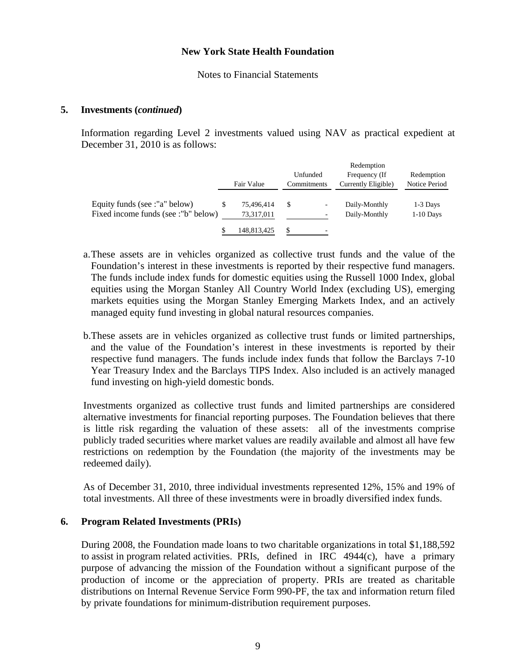#### Notes to Financial Statements

#### **5. Investments (***continued***)**

 Information regarding Level 2 investments valued using NAV as practical expedient at December 31, 2010 is as follows:

|                                                                      | Fair Value               |   | Unfunded<br>Commitments | Redemption<br>Frequency (If<br>Currently Eligible) | Redemption<br>Notice Period |
|----------------------------------------------------------------------|--------------------------|---|-------------------------|----------------------------------------------------|-----------------------------|
| Equity funds (see :"a" below)<br>Fixed income funds (see :"b" below) | 75.496.414<br>73,317,011 | S |                         | Daily-Monthly<br>Daily-Monthly                     | 1-3 Days<br>$1-10$ Days     |
|                                                                      | 148,813,425              | S | -                       |                                                    |                             |

- a.These assets are in vehicles organized as collective trust funds and the value of the Foundation's interest in these investments is reported by their respective fund managers. The funds include index funds for domestic equities using the Russell 1000 Index, global equities using the Morgan Stanley All Country World Index (excluding US), emerging markets equities using the Morgan Stanley Emerging Markets Index, and an actively managed equity fund investing in global natural resources companies.
- b.These assets are in vehicles organized as collective trust funds or limited partnerships, and the value of the Foundation's interest in these investments is reported by their respective fund managers. The funds include index funds that follow the Barclays 7-10 Year Treasury Index and the Barclays TIPS Index. Also included is an actively managed fund investing on high-yield domestic bonds.

Investments organized as collective trust funds and limited partnerships are considered alternative investments for financial reporting purposes. The Foundation believes that there is little risk regarding the valuation of these assets: all of the investments comprise publicly traded securities where market values are readily available and almost all have few restrictions on redemption by the Foundation (the majority of the investments may be redeemed daily).

As of December 31, 2010, three individual investments represented 12%, 15% and 19% of total investments. All three of these investments were in broadly diversified index funds.

#### **6. Program Related Investments (PRIs)**

During 2008, the Foundation made loans to two charitable organizations in total \$1,188,592 to assist in program related activities. PRIs, defined in IRC 4944(c), have a primary purpose of advancing the mission of the Foundation without a significant purpose of the production of income or the appreciation of property. PRIs are treated as charitable distributions on Internal Revenue Service Form 990-PF, the tax and information return filed by private foundations for minimum-distribution requirement purposes.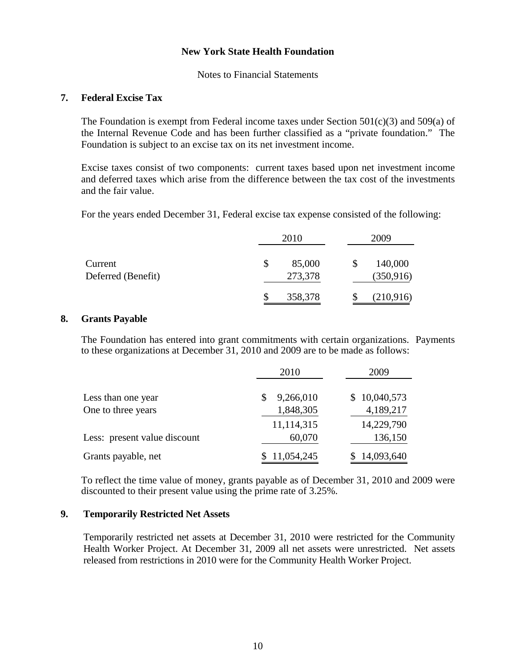Notes to Financial Statements

# **7. Federal Excise Tax**

The Foundation is exempt from Federal income taxes under Section  $501(c)(3)$  and  $509(a)$  of the Internal Revenue Code and has been further classified as a "private foundation." The Foundation is subject to an excise tax on its net investment income.

 Excise taxes consist of two components: current taxes based upon net investment income and deferred taxes which arise from the difference between the tax cost of the investments and the fair value.

For the years ended December 31, Federal excise tax expense consisted of the following:

|                               | 2010                    | 2009                  |
|-------------------------------|-------------------------|-----------------------|
| Current<br>Deferred (Benefit) | \$<br>85,000<br>273,378 | 140,000<br>(350, 916) |
|                               | 358,378                 | (210,916)<br>J        |

#### **8. Grants Payable**

 The Foundation has entered into grant commitments with certain organizations. Payments to these organizations at December 31, 2010 and 2009 are to be made as follows:

|                              | 2010       | 2009         |
|------------------------------|------------|--------------|
| Less than one year           | 9,266,010  | \$10,040,573 |
| One to three years           | 1,848,305  | 4,189,217    |
|                              | 11,114,315 | 14,229,790   |
| Less: present value discount | 60,070     | 136,150      |
| Grants payable, net          | 11,054,245 | 14,093,640   |

 To reflect the time value of money, grants payable as of December 31, 2010 and 2009 were discounted to their present value using the prime rate of 3.25%.

#### **9. Temporarily Restricted Net Assets**

Temporarily restricted net assets at December 31, 2010 were restricted for the Community Health Worker Project. At December 31, 2009 all net assets were unrestricted. Net assets released from restrictions in 2010 were for the Community Health Worker Project.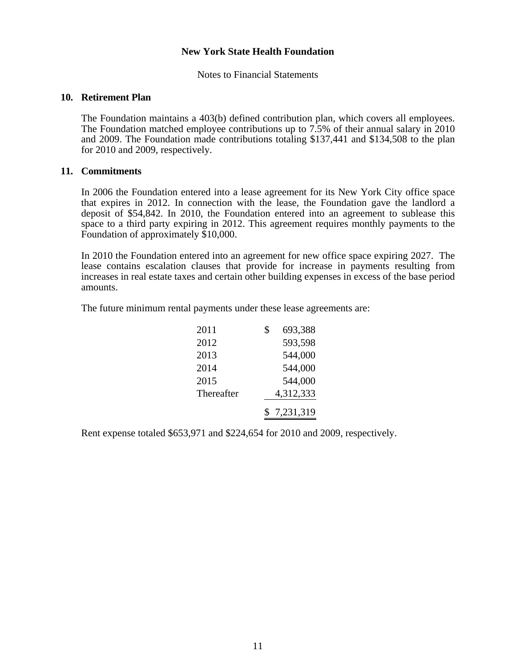Notes to Financial Statements

#### **10. Retirement Plan**

 The Foundation maintains a 403(b) defined contribution plan, which covers all employees. The Foundation matched employee contributions up to 7.5% of their annual salary in 2010 and 2009. The Foundation made contributions totaling \$137,441 and \$134,508 to the plan for 2010 and 2009, respectively.

#### **11. Commitments**

 In 2006 the Foundation entered into a lease agreement for its New York City office space that expires in 2012. In connection with the lease, the Foundation gave the landlord a deposit of \$54,842. In 2010, the Foundation entered into an agreement to sublease this space to a third party expiring in 2012. This agreement requires monthly payments to the Foundation of approximately \$10,000.

 In 2010 the Foundation entered into an agreement for new office space expiring 2027. The lease contains escalation clauses that provide for increase in payments resulting from increases in real estate taxes and certain other building expenses in excess of the base period amounts.

The future minimum rental payments under these lease agreements are:

| 2011       | 693,388<br>\$ |
|------------|---------------|
| 2012       | 593,598       |
| 2013       | 544,000       |
| 2014       | 544,000       |
| 2015       | 544,000       |
| Thereafter | 4,312,333     |
|            | \$7,231,319   |

Rent expense totaled \$653,971 and \$224,654 for 2010 and 2009, respectively.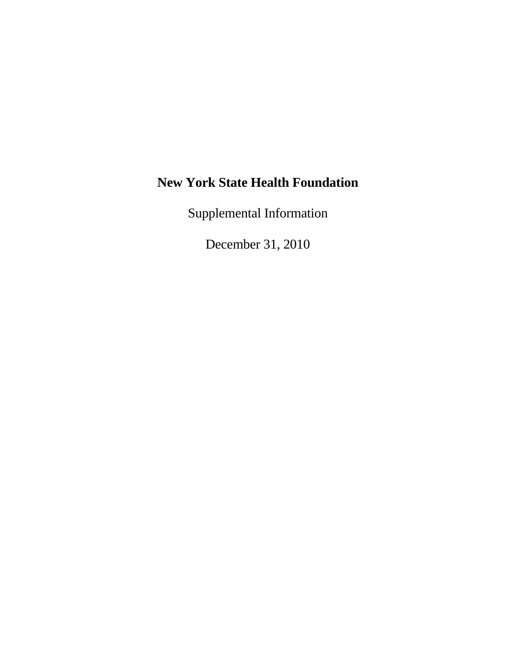Supplemental Information

December 31, 2010